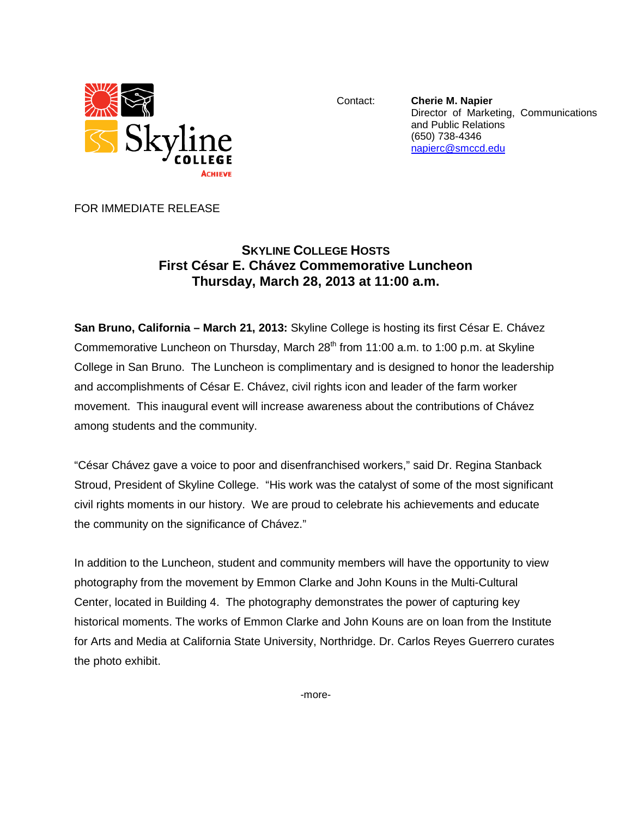

Contact: **Cherie M. Napier** Director of Marketing, Communications and Public Relations (650) 738-4346 [napierc@smccd.edu](mailto:napierc@smccd.edu)

FOR IMMEDIATE RELEASE

## **SKYLINE COLLEGE HOSTS First César E. Chávez Commemorative Luncheon Thursday, March 28, 2013 at 11:00 a.m.**

**San Bruno, California – March 21, 2013:** Skyline College is hosting its first César E. Chávez Commemorative Luncheon on Thursday, March 28<sup>th</sup> from 11:00 a.m. to 1:00 p.m. at Skyline College in San Bruno. The Luncheon is complimentary and is designed to honor the leadership and accomplishments of César E. Chávez, civil rights icon and leader of the farm worker movement. This inaugural event will increase awareness about the contributions of Chávez among students and the community.

"César Chávez gave a voice to poor and disenfranchised workers," said Dr. Regina Stanback Stroud, President of Skyline College. "His work was the catalyst of some of the most significant civil rights moments in our history. We are proud to celebrate his achievements and educate the community on the significance of Chávez."

In addition to the Luncheon, student and community members will have the opportunity to view photography from the movement by Emmon Clarke and John Kouns in the Multi-Cultural Center, located in Building 4. The photography demonstrates the power of capturing key historical moments. The works of Emmon Clarke and John Kouns are on loan from the Institute for Arts and Media at California State University, Northridge. Dr. Carlos Reyes Guerrero curates the photo exhibit.

-more-